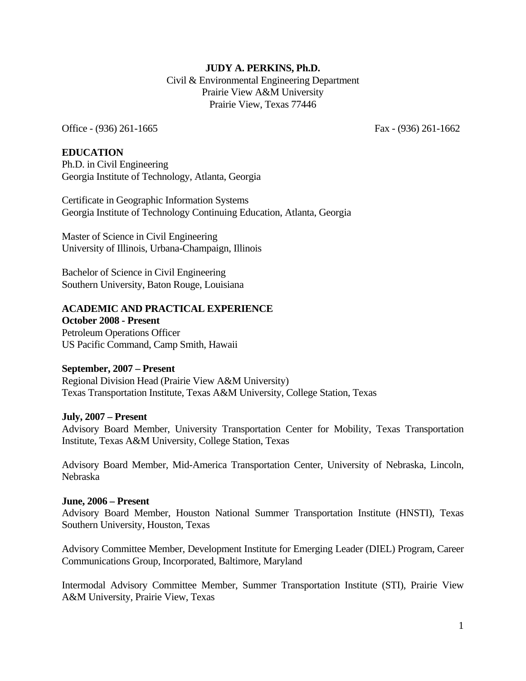# **JUDY A. PERKINS, Ph.D.**

 Civil & Environmental Engineering Department Prairie View A&M University Prairie View, Texas 77446

Office - (936) 261-1665 Fax - (936) 261-1662

### **EDUCATION**

Ph.D. in Civil Engineering Georgia Institute of Technology, Atlanta, Georgia

Certificate in Geographic Information Systems Georgia Institute of Technology Continuing Education, Atlanta, Georgia

Master of Science in Civil Engineering University of Illinois, Urbana-Champaign, Illinois

Bachelor of Science in Civil Engineering Southern University, Baton Rouge, Louisiana

### **ACADEMIC AND PRACTICAL EXPERIENCE**

**October 2008 - Present**  Petroleum Operations Officer US Pacific Command, Camp Smith, Hawaii

### **September, 2007 – Present**

Regional Division Head (Prairie View A&M University) Texas Transportation Institute, Texas A&M University, College Station, Texas

### **July, 2007 – Present**

Advisory Board Member, University Transportation Center for Mobility, Texas Transportation Institute, Texas A&M University, College Station, Texas

Advisory Board Member, Mid-America Transportation Center, University of Nebraska, Lincoln, Nebraska

### **June, 2006 – Present**

Advisory Board Member, Houston National Summer Transportation Institute (HNSTI), Texas Southern University, Houston, Texas

Advisory Committee Member, Development Institute for Emerging Leader (DIEL) Program, Career Communications Group, Incorporated, Baltimore, Maryland

Intermodal Advisory Committee Member, Summer Transportation Institute (STI), Prairie View A&M University, Prairie View, Texas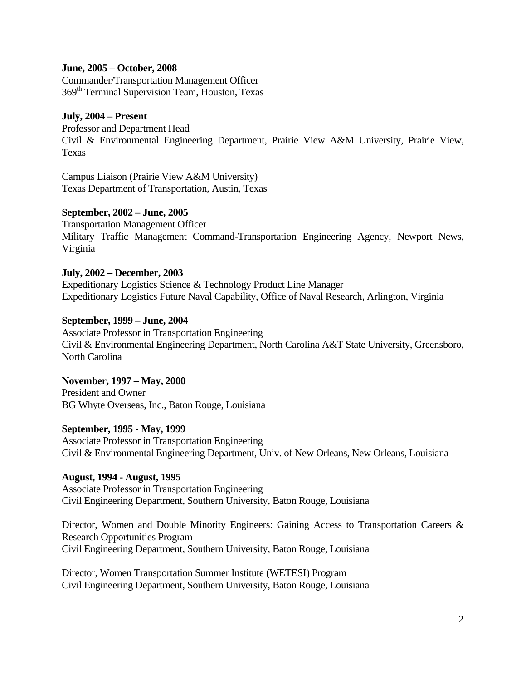### **June, 2005 – October, 2008**

Commander/Transportation Management Officer 369th Terminal Supervision Team, Houston, Texas

## **July, 2004 – Present**

Professor and Department Head Civil & Environmental Engineering Department, Prairie View A&M University, Prairie View, Texas

Campus Liaison (Prairie View A&M University) Texas Department of Transportation, Austin, Texas

## **September, 2002 – June, 2005**

Transportation Management Officer Military Traffic Management Command-Transportation Engineering Agency, Newport News, Virginia

### **July, 2002 – December, 2003**

Expeditionary Logistics Science & Technology Product Line Manager Expeditionary Logistics Future Naval Capability, Office of Naval Research, Arlington, Virginia

### **September, 1999 – June, 2004**

Associate Professor in Transportation Engineering Civil & Environmental Engineering Department, North Carolina A&T State University, Greensboro, North Carolina

# **November, 1997 – May, 2000**

President and Owner BG Whyte Overseas, Inc., Baton Rouge, Louisiana

### **September, 1995 - May, 1999**

Associate Professor in Transportation Engineering Civil & Environmental Engineering Department, Univ. of New Orleans, New Orleans, Louisiana

## **August, 1994 - August, 1995**

Associate Professor in Transportation Engineering Civil Engineering Department, Southern University, Baton Rouge, Louisiana

Director, Women and Double Minority Engineers: Gaining Access to Transportation Careers & Research Opportunities Program Civil Engineering Department, Southern University, Baton Rouge, Louisiana

Director, Women Transportation Summer Institute (WETESI) Program Civil Engineering Department, Southern University, Baton Rouge, Louisiana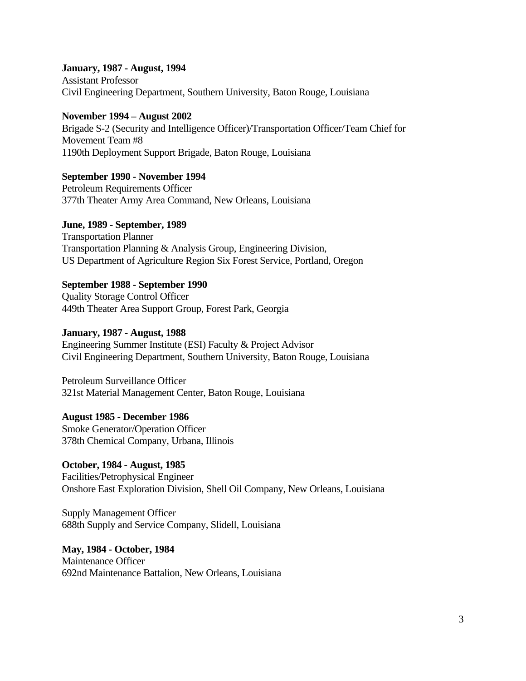## **January, 1987 - August, 1994**

Assistant Professor Civil Engineering Department, Southern University, Baton Rouge, Louisiana

## **November 1994 – August 2002**

Brigade S-2 (Security and Intelligence Officer)/Transportation Officer/Team Chief for Movement Team #8 1190th Deployment Support Brigade, Baton Rouge, Louisiana

**September 1990 - November 1994** Petroleum Requirements Officer

377th Theater Army Area Command, New Orleans, Louisiana

**June, 1989 - September, 1989**

Transportation Planner Transportation Planning & Analysis Group, Engineering Division, US Department of Agriculture Region Six Forest Service, Portland, Oregon

## **September 1988 - September 1990**

Quality Storage Control Officer 449th Theater Area Support Group, Forest Park, Georgia

## **January, 1987 - August, 1988**

Engineering Summer Institute (ESI) Faculty & Project Advisor Civil Engineering Department, Southern University, Baton Rouge, Louisiana

Petroleum Surveillance Officer 321st Material Management Center, Baton Rouge, Louisiana

## **August 1985 - December 1986**

Smoke Generator/Operation Officer 378th Chemical Company, Urbana, Illinois

## **October, 1984 - August, 1985**

Facilities/Petrophysical Engineer Onshore East Exploration Division, Shell Oil Company, New Orleans, Louisiana

Supply Management Officer 688th Supply and Service Company, Slidell, Louisiana

## **May, 1984 - October, 1984**  Maintenance Officer 692nd Maintenance Battalion, New Orleans, Louisiana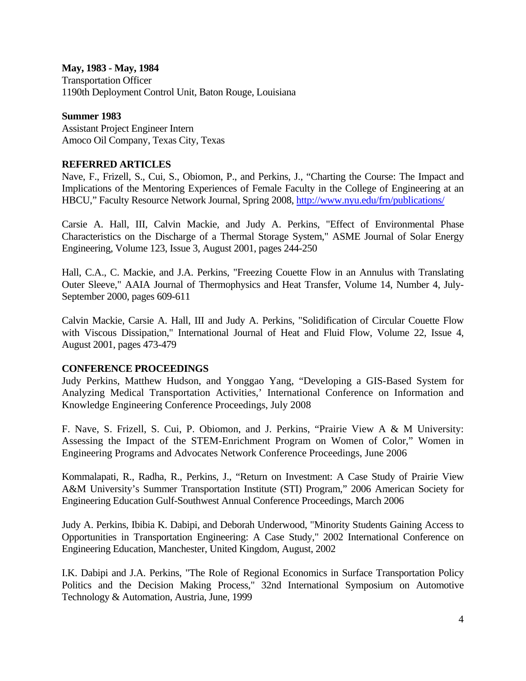## **May, 1983 - May, 1984**

Transportation Officer 1190th Deployment Control Unit, Baton Rouge, Louisiana

### **Summer 1983**

Assistant Project Engineer Intern Amoco Oil Company, Texas City, Texas

## **REFERRED ARTICLES**

Nave, F., Frizell, S., Cui, S., Obiomon, P., and Perkins, J., "Charting the Course: The Impact and Implications of the Mentoring Experiences of Female Faculty in the College of Engineering at an HBCU," Faculty Resource Network Journal, Spring 2008, http://www.nyu.edu/frn/publications/

Carsie A. Hall, III, Calvin Mackie, and Judy A. Perkins, "Effect of Environmental Phase Characteristics on the Discharge of a Thermal Storage System," ASME Journal of Solar Energy Engineering, Volume 123, Issue 3, August 2001, pages 244-250

Hall, C.A., C. Mackie, and J.A. Perkins, "Freezing Couette Flow in an Annulus with Translating Outer Sleeve," AAIA Journal of Thermophysics and Heat Transfer, Volume 14, Number 4, July-September 2000, pages 609-611

Calvin Mackie, Carsie A. Hall, III and Judy A. Perkins, "Solidification of Circular Couette Flow with Viscous Dissipation," International Journal of Heat and Fluid Flow, Volume 22, Issue 4, August 2001, pages 473-479

## **CONFERENCE PROCEEDINGS**

Judy Perkins, Matthew Hudson, and Yonggao Yang, "Developing a GIS-Based System for Analyzing Medical Transportation Activities,' International Conference on Information and Knowledge Engineering Conference Proceedings, July 2008

F. Nave, S. Frizell, S. Cui, P. Obiomon, and J. Perkins, "Prairie View A & M University: Assessing the Impact of the STEM-Enrichment Program on Women of Color," Women in Engineering Programs and Advocates Network Conference Proceedings, June 2006

Kommalapati, R., Radha, R., Perkins, J., "Return on Investment: A Case Study of Prairie View A&M University's Summer Transportation Institute (STI) Program," 2006 American Society for Engineering Education Gulf-Southwest Annual Conference Proceedings, March 2006

Judy A. Perkins, Ibibia K. Dabipi, and Deborah Underwood, "Minority Students Gaining Access to Opportunities in Transportation Engineering: A Case Study," 2002 International Conference on Engineering Education, Manchester, United Kingdom, August, 2002

I.K. Dabipi and J.A. Perkins, "The Role of Regional Economics in Surface Transportation Policy Politics and the Decision Making Process," 32nd International Symposium on Automotive Technology & Automation, Austria, June, 1999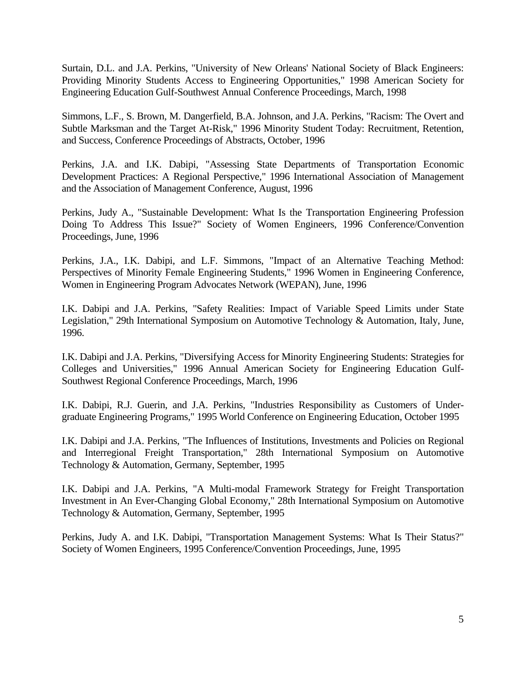Surtain, D.L. and J.A. Perkins, "University of New Orleans' National Society of Black Engineers: Providing Minority Students Access to Engineering Opportunities," 1998 American Society for Engineering Education Gulf-Southwest Annual Conference Proceedings, March, 1998

Simmons, L.F., S. Brown, M. Dangerfield, B.A. Johnson, and J.A. Perkins, "Racism: The Overt and Subtle Marksman and the Target At-Risk," 1996 Minority Student Today: Recruitment, Retention, and Success, Conference Proceedings of Abstracts, October, 1996

Perkins, J.A. and I.K. Dabipi, "Assessing State Departments of Transportation Economic Development Practices: A Regional Perspective," 1996 International Association of Management and the Association of Management Conference, August, 1996

Perkins, Judy A., "Sustainable Development: What Is the Transportation Engineering Profession Doing To Address This Issue?" Society of Women Engineers, 1996 Conference/Convention Proceedings, June, 1996

Perkins, J.A., I.K. Dabipi, and L.F. Simmons, "Impact of an Alternative Teaching Method: Perspectives of Minority Female Engineering Students," 1996 Women in Engineering Conference, Women in Engineering Program Advocates Network (WEPAN), June, 1996

I.K. Dabipi and J.A. Perkins, "Safety Realities: Impact of Variable Speed Limits under State Legislation," 29th International Symposium on Automotive Technology & Automation, Italy, June, 1996.

I.K. Dabipi and J.A. Perkins, "Diversifying Access for Minority Engineering Students: Strategies for Colleges and Universities," 1996 Annual American Society for Engineering Education Gulf-Southwest Regional Conference Proceedings, March, 1996

I.K. Dabipi, R.J. Guerin, and J.A. Perkins, "Industries Responsibility as Customers of Undergraduate Engineering Programs," 1995 World Conference on Engineering Education, October 1995

I.K. Dabipi and J.A. Perkins, "The Influences of Institutions, Investments and Policies on Regional and Interregional Freight Transportation," 28th International Symposium on Automotive Technology & Automation, Germany, September, 1995

I.K. Dabipi and J.A. Perkins, "A Multi-modal Framework Strategy for Freight Transportation Investment in An Ever-Changing Global Economy," 28th International Symposium on Automotive Technology & Automation, Germany, September, 1995

Perkins, Judy A. and I.K. Dabipi, "Transportation Management Systems: What Is Their Status?" Society of Women Engineers, 1995 Conference/Convention Proceedings, June, 1995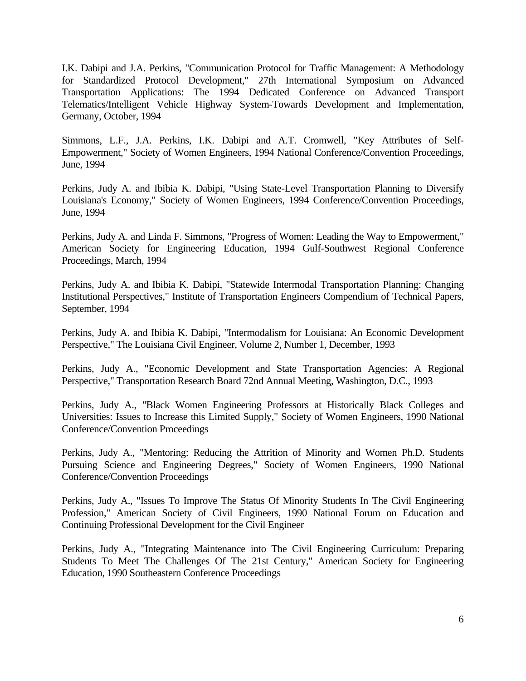I.K. Dabipi and J.A. Perkins, "Communication Protocol for Traffic Management: A Methodology for Standardized Protocol Development," 27th International Symposium on Advanced Transportation Applications: The 1994 Dedicated Conference on Advanced Transport Telematics/Intelligent Vehicle Highway System-Towards Development and Implementation, Germany, October, 1994

Simmons, L.F., J.A. Perkins, I.K. Dabipi and A.T. Cromwell, "Key Attributes of Self-Empowerment," Society of Women Engineers, 1994 National Conference/Convention Proceedings, June, 1994

Perkins, Judy A. and Ibibia K. Dabipi, "Using State-Level Transportation Planning to Diversify Louisiana's Economy," Society of Women Engineers, 1994 Conference/Convention Proceedings, June, 1994

Perkins, Judy A. and Linda F. Simmons, "Progress of Women: Leading the Way to Empowerment," American Society for Engineering Education, 1994 Gulf-Southwest Regional Conference Proceedings, March, 1994

Perkins, Judy A. and Ibibia K. Dabipi, "Statewide Intermodal Transportation Planning: Changing Institutional Perspectives," Institute of Transportation Engineers Compendium of Technical Papers, September, 1994

Perkins, Judy A. and Ibibia K. Dabipi, "Intermodalism for Louisiana: An Economic Development Perspective," The Louisiana Civil Engineer, Volume 2, Number 1, December, 1993

Perkins, Judy A., "Economic Development and State Transportation Agencies: A Regional Perspective," Transportation Research Board 72nd Annual Meeting, Washington, D.C., 1993

Perkins, Judy A., "Black Women Engineering Professors at Historically Black Colleges and Universities: Issues to Increase this Limited Supply," Society of Women Engineers, 1990 National Conference/Convention Proceedings

Perkins, Judy A., "Mentoring: Reducing the Attrition of Minority and Women Ph.D. Students Pursuing Science and Engineering Degrees," Society of Women Engineers, 1990 National Conference/Convention Proceedings

Perkins, Judy A., "Issues To Improve The Status Of Minority Students In The Civil Engineering Profession," American Society of Civil Engineers, 1990 National Forum on Education and Continuing Professional Development for the Civil Engineer

Perkins, Judy A., "Integrating Maintenance into The Civil Engineering Curriculum: Preparing Students To Meet The Challenges Of The 21st Century," American Society for Engineering Education, 1990 Southeastern Conference Proceedings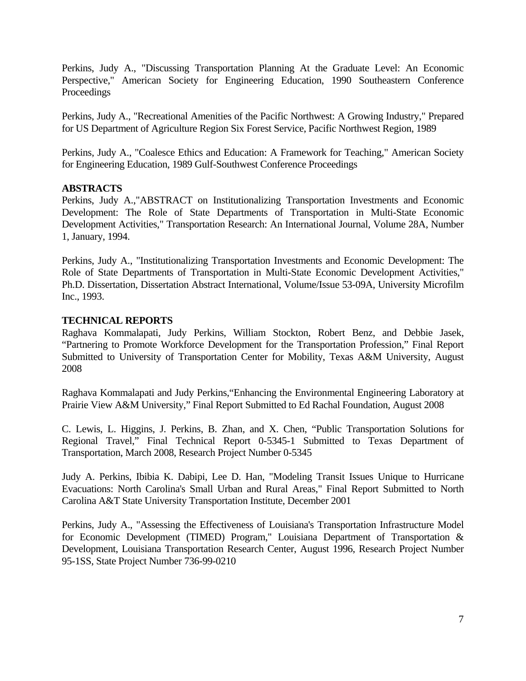Perkins, Judy A., "Discussing Transportation Planning At the Graduate Level: An Economic Perspective," American Society for Engineering Education, 1990 Southeastern Conference Proceedings

Perkins, Judy A., "Recreational Amenities of the Pacific Northwest: A Growing Industry," Prepared for US Department of Agriculture Region Six Forest Service, Pacific Northwest Region, 1989

Perkins, Judy A., "Coalesce Ethics and Education: A Framework for Teaching," American Society for Engineering Education, 1989 Gulf-Southwest Conference Proceedings

## **ABSTRACTS**

Perkins, Judy A.,"ABSTRACT on Institutionalizing Transportation Investments and Economic Development: The Role of State Departments of Transportation in Multi-State Economic Development Activities," Transportation Research: An International Journal, Volume 28A, Number 1, January, 1994.

Perkins, Judy A., "Institutionalizing Transportation Investments and Economic Development: The Role of State Departments of Transportation in Multi-State Economic Development Activities," Ph.D. Dissertation, Dissertation Abstract International, Volume/Issue 53-09A, University Microfilm Inc., 1993.

## **TECHNICAL REPORTS**

Raghava Kommalapati, Judy Perkins, William Stockton, Robert Benz, and Debbie Jasek, "Partnering to Promote Workforce Development for the Transportation Profession," Final Report Submitted to University of Transportation Center for Mobility, Texas A&M University, August 2008

Raghava Kommalapati and Judy Perkins,"Enhancing the Environmental Engineering Laboratory at Prairie View A&M University," Final Report Submitted to Ed Rachal Foundation, August 2008

C. Lewis, L. Higgins, J. Perkins, B. Zhan, and X. Chen, "Public Transportation Solutions for Regional Travel," Final Technical Report 0-5345-1 Submitted to Texas Department of Transportation, March 2008, Research Project Number 0-5345

Judy A. Perkins, Ibibia K. Dabipi, Lee D. Han, "Modeling Transit Issues Unique to Hurricane Evacuations: North Carolina's Small Urban and Rural Areas," Final Report Submitted to North Carolina A&T State University Transportation Institute, December 2001

Perkins, Judy A., "Assessing the Effectiveness of Louisiana's Transportation Infrastructure Model for Economic Development (TIMED) Program," Louisiana Department of Transportation & Development, Louisiana Transportation Research Center, August 1996, Research Project Number 95-1SS, State Project Number 736-99-0210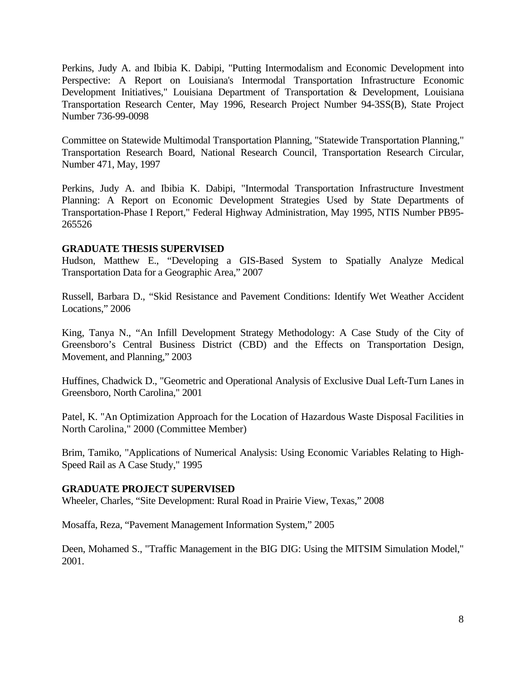Perkins, Judy A. and Ibibia K. Dabipi, "Putting Intermodalism and Economic Development into Perspective: A Report on Louisiana's Intermodal Transportation Infrastructure Economic Development Initiatives," Louisiana Department of Transportation & Development, Louisiana Transportation Research Center, May 1996, Research Project Number 94-3SS(B), State Project Number 736-99-0098

Committee on Statewide Multimodal Transportation Planning, "Statewide Transportation Planning," Transportation Research Board, National Research Council, Transportation Research Circular, Number 471, May, 1997

Perkins, Judy A. and Ibibia K. Dabipi, "Intermodal Transportation Infrastructure Investment Planning: A Report on Economic Development Strategies Used by State Departments of Transportation-Phase I Report," Federal Highway Administration, May 1995, NTIS Number PB95- 265526

### **GRADUATE THESIS SUPERVISED**

Hudson, Matthew E., "Developing a GIS-Based System to Spatially Analyze Medical Transportation Data for a Geographic Area," 2007

Russell, Barbara D., "Skid Resistance and Pavement Conditions: Identify Wet Weather Accident Locations," 2006

King, Tanya N., "An Infill Development Strategy Methodology: A Case Study of the City of Greensboro's Central Business District (CBD) and the Effects on Transportation Design, Movement, and Planning," 2003

Huffines, Chadwick D., "Geometric and Operational Analysis of Exclusive Dual Left-Turn Lanes in Greensboro, North Carolina," 2001

Patel, K. "An Optimization Approach for the Location of Hazardous Waste Disposal Facilities in North Carolina," 2000 (Committee Member)

Brim, Tamiko, "Applications of Numerical Analysis: Using Economic Variables Relating to High-Speed Rail as A Case Study," 1995

### **GRADUATE PROJECT SUPERVISED**

Wheeler, Charles, "Site Development: Rural Road in Prairie View, Texas," 2008

Mosaffa, Reza, "Pavement Management Information System," 2005

Deen, Mohamed S., "Traffic Management in the BIG DIG: Using the MITSIM Simulation Model," 2001.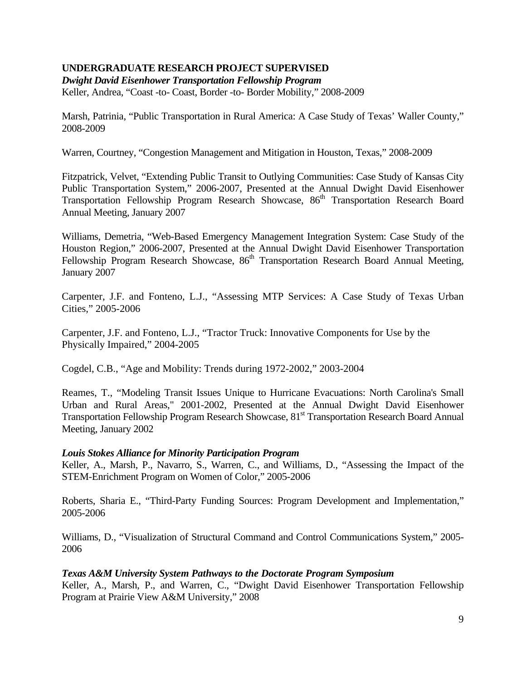# **UNDERGRADUATE RESEARCH PROJECT SUPERVISED**

*Dwight David Eisenhower Transportation Fellowship Program*  Keller, Andrea, "Coast -to- Coast, Border -to- Border Mobility," 2008-2009

Marsh, Patrinia, "Public Transportation in Rural America: A Case Study of Texas' Waller County," 2008-2009

Warren, Courtney, "Congestion Management and Mitigation in Houston, Texas," 2008-2009

Fitzpatrick, Velvet, "Extending Public Transit to Outlying Communities: Case Study of Kansas City Public Transportation System," 2006-2007, Presented at the Annual Dwight David Eisenhower Transportation Fellowship Program Research Showcase, 86<sup>th</sup> Transportation Research Board Annual Meeting, January 2007

Williams, Demetria, "Web-Based Emergency Management Integration System: Case Study of the Houston Region," 2006-2007, Presented at the Annual Dwight David Eisenhower Transportation Fellowship Program Research Showcase, 86<sup>th</sup> Transportation Research Board Annual Meeting, January 2007

Carpenter, J.F. and Fonteno, L.J., "Assessing MTP Services: A Case Study of Texas Urban Cities," 2005-2006

Carpenter, J.F. and Fonteno, L.J., "Tractor Truck: Innovative Components for Use by the Physically Impaired," 2004-2005

Cogdel, C.B., "Age and Mobility: Trends during 1972-2002," 2003-2004

Reames, T., "Modeling Transit Issues Unique to Hurricane Evacuations: North Carolina's Small Urban and Rural Areas," 2001-2002, Presented at the Annual Dwight David Eisenhower Transportation Fellowship Program Research Showcase, 81<sup>st</sup> Transportation Research Board Annual Meeting, January 2002

## *Louis Stokes Alliance for Minority Participation Program*

Keller, A., Marsh, P., Navarro, S., Warren, C., and Williams, D., "Assessing the Impact of the STEM-Enrichment Program on Women of Color," 2005-2006

Roberts, Sharia E., "Third-Party Funding Sources: Program Development and Implementation," 2005-2006

Williams, D., "Visualization of Structural Command and Control Communications System," 2005- 2006

## *Texas A&M University System Pathways to the Doctorate Program Symposium*

Keller, A., Marsh, P., and Warren, C., "Dwight David Eisenhower Transportation Fellowship Program at Prairie View A&M University," 2008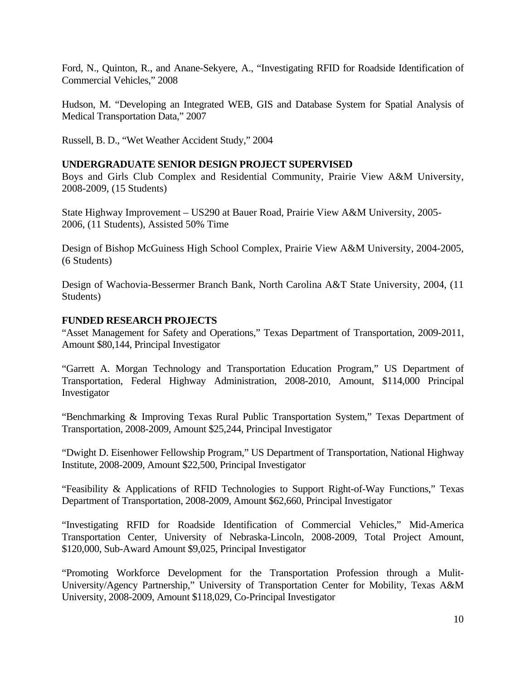Ford, N., Quinton, R., and Anane-Sekyere, A., "Investigating RFID for Roadside Identification of Commercial Vehicles," 2008

Hudson, M. "Developing an Integrated WEB, GIS and Database System for Spatial Analysis of Medical Transportation Data," 2007

Russell, B. D., "Wet Weather Accident Study," 2004

## **UNDERGRADUATE SENIOR DESIGN PROJECT SUPERVISED**

Boys and Girls Club Complex and Residential Community, Prairie View A&M University, 2008-2009, (15 Students)

State Highway Improvement – US290 at Bauer Road, Prairie View A&M University, 2005- 2006, (11 Students), Assisted 50% Time

Design of Bishop McGuiness High School Complex, Prairie View A&M University, 2004-2005, (6 Students)

Design of Wachovia-Bessermer Branch Bank, North Carolina A&T State University, 2004, (11 Students)

### **FUNDED RESEARCH PROJECTS**

"Asset Management for Safety and Operations," Texas Department of Transportation, 2009-2011, Amount \$80,144, Principal Investigator

"Garrett A. Morgan Technology and Transportation Education Program," US Department of Transportation, Federal Highway Administration, 2008-2010, Amount, \$114,000 Principal Investigator

"Benchmarking & Improving Texas Rural Public Transportation System," Texas Department of Transportation, 2008-2009, Amount \$25,244, Principal Investigator

"Dwight D. Eisenhower Fellowship Program," US Department of Transportation, National Highway Institute, 2008-2009, Amount \$22,500, Principal Investigator

"Feasibility & Applications of RFID Technologies to Support Right-of-Way Functions," Texas Department of Transportation, 2008-2009, Amount \$62,660, Principal Investigator

"Investigating RFID for Roadside Identification of Commercial Vehicles," Mid-America Transportation Center, University of Nebraska-Lincoln, 2008-2009, Total Project Amount, \$120,000, Sub-Award Amount \$9,025, Principal Investigator

"Promoting Workforce Development for the Transportation Profession through a Mulit-University/Agency Partnership," University of Transportation Center for Mobility, Texas A&M University, 2008-2009, Amount \$118,029, Co-Principal Investigator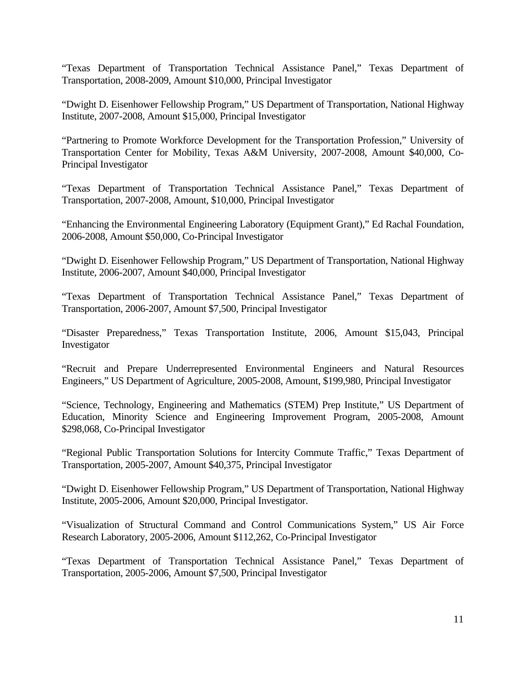"Texas Department of Transportation Technical Assistance Panel," Texas Department of Transportation, 2008-2009, Amount \$10,000, Principal Investigator

"Dwight D. Eisenhower Fellowship Program," US Department of Transportation, National Highway Institute, 2007-2008, Amount \$15,000, Principal Investigator

"Partnering to Promote Workforce Development for the Transportation Profession," University of Transportation Center for Mobility, Texas A&M University, 2007-2008, Amount \$40,000, Co-Principal Investigator

"Texas Department of Transportation Technical Assistance Panel," Texas Department of Transportation, 2007-2008, Amount, \$10,000, Principal Investigator

"Enhancing the Environmental Engineering Laboratory (Equipment Grant)," Ed Rachal Foundation, 2006-2008, Amount \$50,000, Co-Principal Investigator

"Dwight D. Eisenhower Fellowship Program," US Department of Transportation, National Highway Institute, 2006-2007, Amount \$40,000, Principal Investigator

"Texas Department of Transportation Technical Assistance Panel," Texas Department of Transportation, 2006-2007, Amount \$7,500, Principal Investigator

"Disaster Preparedness," Texas Transportation Institute, 2006, Amount \$15,043, Principal Investigator

"Recruit and Prepare Underrepresented Environmental Engineers and Natural Resources Engineers," US Department of Agriculture, 2005-2008, Amount, \$199,980, Principal Investigator

"Science, Technology, Engineering and Mathematics (STEM) Prep Institute," US Department of Education, Minority Science and Engineering Improvement Program, 2005-2008, Amount \$298,068, Co-Principal Investigator

"Regional Public Transportation Solutions for Intercity Commute Traffic," Texas Department of Transportation, 2005-2007, Amount \$40,375, Principal Investigator

"Dwight D. Eisenhower Fellowship Program," US Department of Transportation, National Highway Institute, 2005-2006, Amount \$20,000, Principal Investigator.

"Visualization of Structural Command and Control Communications System," US Air Force Research Laboratory, 2005-2006, Amount \$112,262, Co-Principal Investigator

"Texas Department of Transportation Technical Assistance Panel," Texas Department of Transportation, 2005-2006, Amount \$7,500, Principal Investigator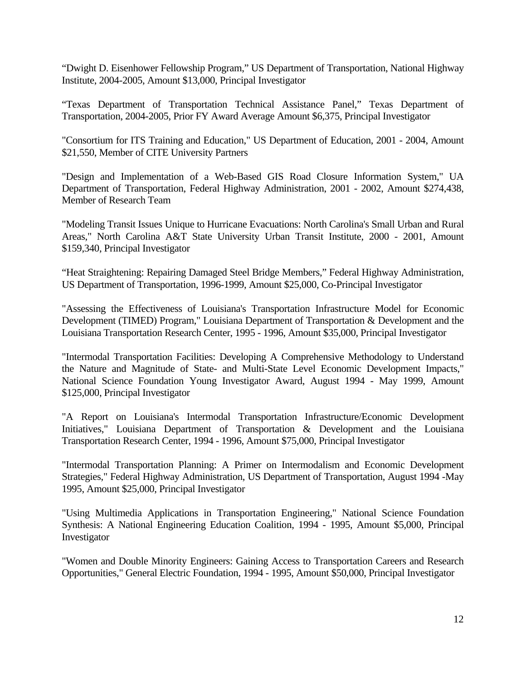"Dwight D. Eisenhower Fellowship Program," US Department of Transportation, National Highway Institute, 2004-2005, Amount \$13,000, Principal Investigator

"Texas Department of Transportation Technical Assistance Panel," Texas Department of Transportation, 2004-2005, Prior FY Award Average Amount \$6,375, Principal Investigator

"Consortium for ITS Training and Education," US Department of Education, 2001 - 2004, Amount \$21,550, Member of CITE University Partners

"Design and Implementation of a Web-Based GIS Road Closure Information System," UA Department of Transportation, Federal Highway Administration, 2001 - 2002, Amount \$274,438, Member of Research Team

"Modeling Transit Issues Unique to Hurricane Evacuations: North Carolina's Small Urban and Rural Areas," North Carolina A&T State University Urban Transit Institute, 2000 - 2001, Amount \$159,340, Principal Investigator

"Heat Straightening: Repairing Damaged Steel Bridge Members," Federal Highway Administration, US Department of Transportation, 1996-1999, Amount \$25,000, Co-Principal Investigator

"Assessing the Effectiveness of Louisiana's Transportation Infrastructure Model for Economic Development (TIMED) Program," Louisiana Department of Transportation & Development and the Louisiana Transportation Research Center, 1995 - 1996, Amount \$35,000, Principal Investigator

"Intermodal Transportation Facilities: Developing A Comprehensive Methodology to Understand the Nature and Magnitude of State- and Multi-State Level Economic Development Impacts," National Science Foundation Young Investigator Award, August 1994 - May 1999, Amount \$125,000, Principal Investigator

"A Report on Louisiana's Intermodal Transportation Infrastructure/Economic Development Initiatives," Louisiana Department of Transportation & Development and the Louisiana Transportation Research Center, 1994 - 1996, Amount \$75,000, Principal Investigator

"Intermodal Transportation Planning: A Primer on Intermodalism and Economic Development Strategies," Federal Highway Administration, US Department of Transportation, August 1994 -May 1995, Amount \$25,000, Principal Investigator

"Using Multimedia Applications in Transportation Engineering," National Science Foundation Synthesis: A National Engineering Education Coalition, 1994 - 1995, Amount \$5,000, Principal Investigator

"Women and Double Minority Engineers: Gaining Access to Transportation Careers and Research Opportunities," General Electric Foundation, 1994 - 1995, Amount \$50,000, Principal Investigator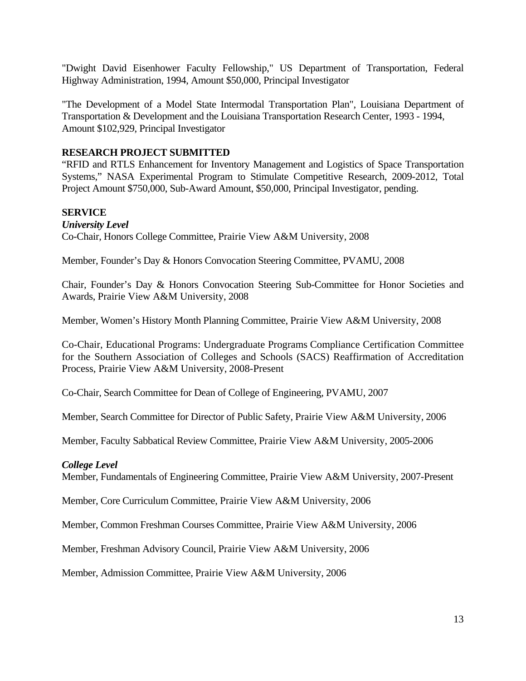"Dwight David Eisenhower Faculty Fellowship," US Department of Transportation, Federal Highway Administration, 1994, Amount \$50,000, Principal Investigator

"The Development of a Model State Intermodal Transportation Plan", Louisiana Department of Transportation & Development and the Louisiana Transportation Research Center, 1993 - 1994, Amount \$102,929, Principal Investigator

# **RESEARCH PROJECT SUBMITTED**

"RFID and RTLS Enhancement for Inventory Management and Logistics of Space Transportation Systems," NASA Experimental Program to Stimulate Competitive Research, 2009-2012, Total Project Amount \$750,000, Sub-Award Amount, \$50,000, Principal Investigator, pending.

## **SERVICE**

*University Level*  Co-Chair, Honors College Committee, Prairie View A&M University, 2008

Member, Founder's Day & Honors Convocation Steering Committee, PVAMU, 2008

Chair, Founder's Day & Honors Convocation Steering Sub-Committee for Honor Societies and Awards, Prairie View A&M University, 2008

Member, Women's History Month Planning Committee, Prairie View A&M University, 2008

Co-Chair, Educational Programs: Undergraduate Programs Compliance Certification Committee for the Southern Association of Colleges and Schools (SACS) Reaffirmation of Accreditation Process, Prairie View A&M University, 2008-Present

Co-Chair, Search Committee for Dean of College of Engineering, PVAMU, 2007

Member, Search Committee for Director of Public Safety, Prairie View A&M University, 2006

Member, Faculty Sabbatical Review Committee, Prairie View A&M University, 2005-2006

## *College Level*

Member, Fundamentals of Engineering Committee, Prairie View A&M University, 2007-Present

Member, Core Curriculum Committee, Prairie View A&M University, 2006

Member, Common Freshman Courses Committee, Prairie View A&M University, 2006

Member, Freshman Advisory Council, Prairie View A&M University, 2006

Member, Admission Committee, Prairie View A&M University, 2006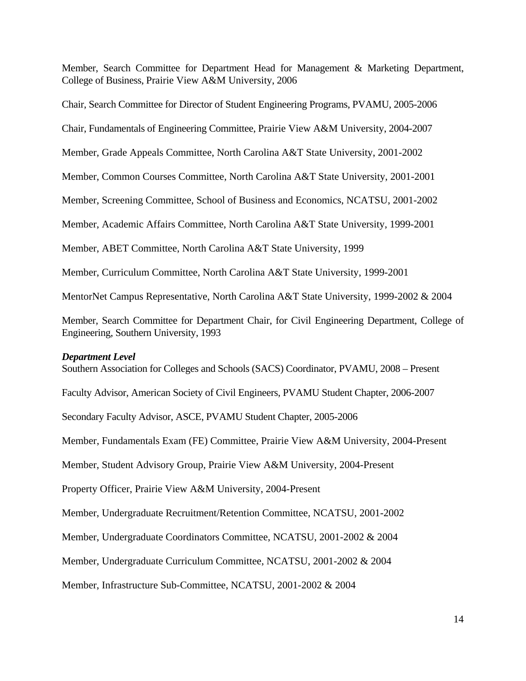Member, Search Committee for Department Head for Management & Marketing Department, College of Business, Prairie View A&M University, 2006

Chair, Search Committee for Director of Student Engineering Programs, PVAMU, 2005-2006

Chair, Fundamentals of Engineering Committee, Prairie View A&M University, 2004-2007

Member, Grade Appeals Committee, North Carolina A&T State University, 2001-2002

Member, Common Courses Committee, North Carolina A&T State University, 2001-2001

Member, Screening Committee, School of Business and Economics, NCATSU, 2001-2002

Member, Academic Affairs Committee, North Carolina A&T State University, 1999-2001

Member, ABET Committee, North Carolina A&T State University, 1999

Member, Curriculum Committee, North Carolina A&T State University, 1999-2001

MentorNet Campus Representative, North Carolina A&T State University, 1999-2002 & 2004

Member, Search Committee for Department Chair, for Civil Engineering Department, College of Engineering, Southern University, 1993

#### *Department Level*

Southern Association for Colleges and Schools (SACS) Coordinator, PVAMU, 2008 – Present

Faculty Advisor, American Society of Civil Engineers, PVAMU Student Chapter, 2006-2007

Secondary Faculty Advisor, ASCE, PVAMU Student Chapter, 2005-2006

Member, Fundamentals Exam (FE) Committee, Prairie View A&M University, 2004-Present

Member, Student Advisory Group, Prairie View A&M University, 2004-Present

Property Officer, Prairie View A&M University, 2004-Present

Member, Undergraduate Recruitment/Retention Committee, NCATSU, 2001-2002

Member, Undergraduate Coordinators Committee, NCATSU, 2001-2002 & 2004

Member, Undergraduate Curriculum Committee, NCATSU, 2001-2002 & 2004

Member, Infrastructure Sub-Committee, NCATSU, 2001-2002 & 2004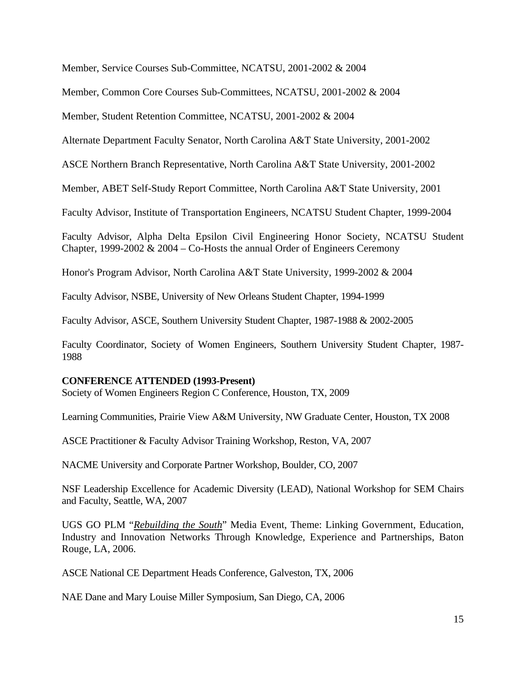Member, Service Courses Sub-Committee, NCATSU, 2001-2002 & 2004

Member, Common Core Courses Sub-Committees, NCATSU, 2001-2002 & 2004

Member, Student Retention Committee, NCATSU, 2001-2002 & 2004

Alternate Department Faculty Senator, North Carolina A&T State University, 2001-2002

ASCE Northern Branch Representative, North Carolina A&T State University, 2001-2002

Member, ABET Self-Study Report Committee, North Carolina A&T State University, 2001

Faculty Advisor, Institute of Transportation Engineers, NCATSU Student Chapter, 1999-2004

Faculty Advisor, Alpha Delta Epsilon Civil Engineering Honor Society, NCATSU Student Chapter, 1999-2002  $& 2004 - Co-Hosts$  the annual Order of Engineers Ceremony

Honor's Program Advisor, North Carolina A&T State University, 1999-2002 & 2004

Faculty Advisor, NSBE, University of New Orleans Student Chapter, 1994-1999

Faculty Advisor, ASCE, Southern University Student Chapter, 1987-1988 & 2002-2005

Faculty Coordinator, Society of Women Engineers, Southern University Student Chapter, 1987- 1988

## **CONFERENCE ATTENDED (1993-Present)**

Society of Women Engineers Region C Conference, Houston, TX, 2009

Learning Communities, Prairie View A&M University, NW Graduate Center, Houston, TX 2008

ASCE Practitioner & Faculty Advisor Training Workshop, Reston, VA, 2007

NACME University and Corporate Partner Workshop, Boulder, CO, 2007

NSF Leadership Excellence for Academic Diversity (LEAD), National Workshop for SEM Chairs and Faculty, Seattle, WA, 2007

UGS GO PLM "*Rebuilding the South*" Media Event, Theme: Linking Government, Education, Industry and Innovation Networks Through Knowledge, Experience and Partnerships, Baton Rouge, LA, 2006.

ASCE National CE Department Heads Conference, Galveston, TX, 2006

NAE Dane and Mary Louise Miller Symposium, San Diego, CA, 2006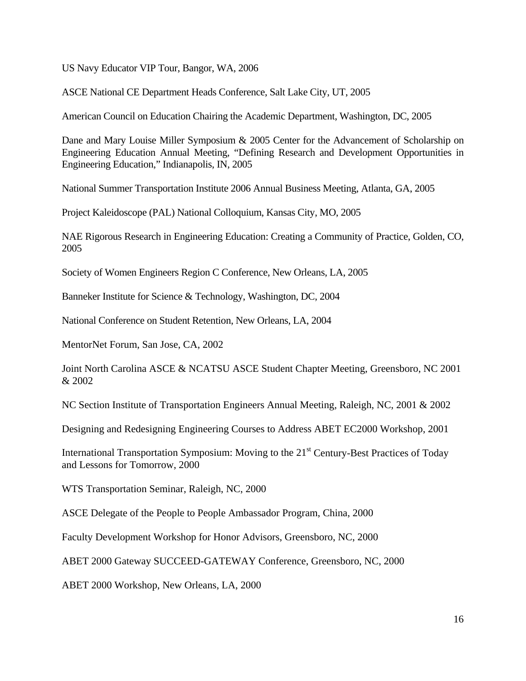US Navy Educator VIP Tour, Bangor, WA, 2006

ASCE National CE Department Heads Conference, Salt Lake City, UT, 2005

American Council on Education Chairing the Academic Department, Washington, DC, 2005

Dane and Mary Louise Miller Symposium & 2005 Center for the Advancement of Scholarship on Engineering Education Annual Meeting, "Defining Research and Development Opportunities in Engineering Education," Indianapolis, IN, 2005

National Summer Transportation Institute 2006 Annual Business Meeting, Atlanta, GA, 2005

Project Kaleidoscope (PAL) National Colloquium, Kansas City, MO, 2005

NAE Rigorous Research in Engineering Education: Creating a Community of Practice, Golden, CO, 2005

Society of Women Engineers Region C Conference, New Orleans, LA, 2005

Banneker Institute for Science & Technology, Washington, DC, 2004

National Conference on Student Retention, New Orleans, LA, 2004

MentorNet Forum, San Jose, CA, 2002

Joint North Carolina ASCE & NCATSU ASCE Student Chapter Meeting, Greensboro, NC 2001 & 2002

NC Section Institute of Transportation Engineers Annual Meeting, Raleigh, NC, 2001 & 2002

Designing and Redesigning Engineering Courses to Address ABET EC2000 Workshop, 2001

International Transportation Symposium: Moving to the 21<sup>st</sup> Century-Best Practices of Today and Lessons for Tomorrow, 2000

WTS Transportation Seminar, Raleigh, NC, 2000

ASCE Delegate of the People to People Ambassador Program, China, 2000

Faculty Development Workshop for Honor Advisors, Greensboro, NC, 2000

ABET 2000 Gateway SUCCEED-GATEWAY Conference, Greensboro, NC, 2000

ABET 2000 Workshop, New Orleans, LA, 2000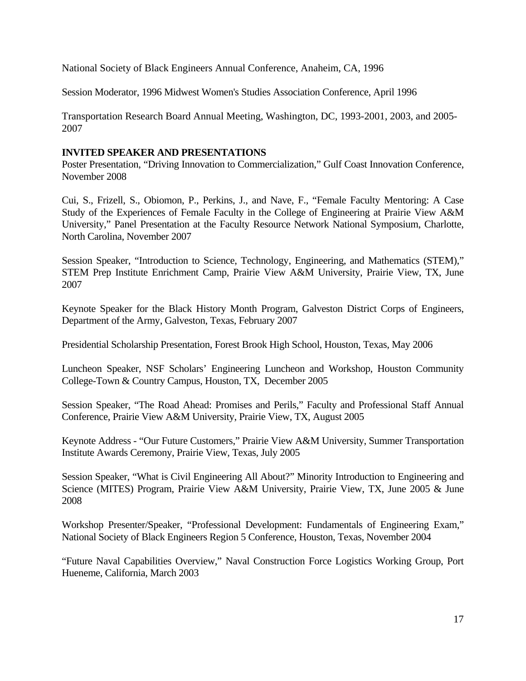National Society of Black Engineers Annual Conference, Anaheim, CA, 1996

Session Moderator, 1996 Midwest Women's Studies Association Conference, April 1996

Transportation Research Board Annual Meeting, Washington, DC, 1993-2001, 2003, and 2005- 2007

# **INVITED SPEAKER AND PRESENTATIONS**

Poster Presentation, "Driving Innovation to Commercialization," Gulf Coast Innovation Conference, November 2008

Cui, S., Frizell, S., Obiomon, P., Perkins, J., and Nave, F., "Female Faculty Mentoring: A Case Study of the Experiences of Female Faculty in the College of Engineering at Prairie View A&M University," Panel Presentation at the Faculty Resource Network National Symposium, Charlotte, North Carolina, November 2007

Session Speaker, "Introduction to Science, Technology, Engineering, and Mathematics (STEM)," STEM Prep Institute Enrichment Camp, Prairie View A&M University, Prairie View, TX, June 2007

Keynote Speaker for the Black History Month Program, Galveston District Corps of Engineers, Department of the Army, Galveston, Texas, February 2007

Presidential Scholarship Presentation, Forest Brook High School, Houston, Texas, May 2006

Luncheon Speaker, NSF Scholars' Engineering Luncheon and Workshop, Houston Community College-Town & Country Campus, Houston, TX, December 2005

Session Speaker, "The Road Ahead: Promises and Perils," Faculty and Professional Staff Annual Conference, Prairie View A&M University, Prairie View, TX, August 2005

Keynote Address - "Our Future Customers," Prairie View A&M University, Summer Transportation Institute Awards Ceremony, Prairie View, Texas, July 2005

Session Speaker, "What is Civil Engineering All About?" Minority Introduction to Engineering and Science (MITES) Program, Prairie View A&M University, Prairie View, TX, June 2005 & June 2008

Workshop Presenter/Speaker, "Professional Development: Fundamentals of Engineering Exam," National Society of Black Engineers Region 5 Conference, Houston, Texas, November 2004

"Future Naval Capabilities Overview," Naval Construction Force Logistics Working Group, Port Hueneme, California, March 2003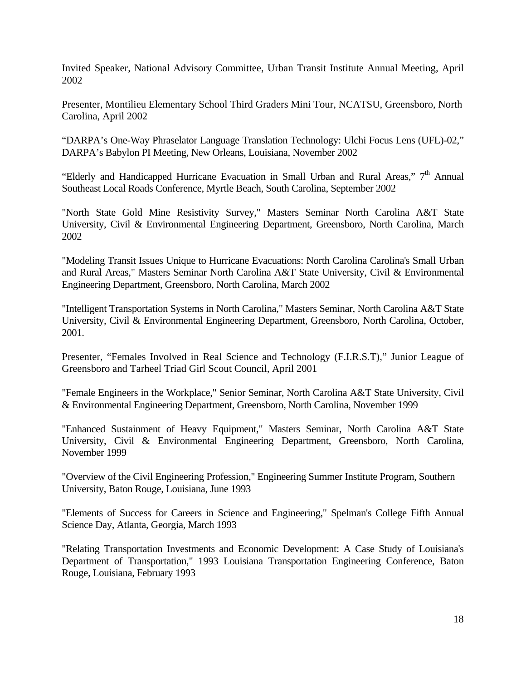Invited Speaker, National Advisory Committee, Urban Transit Institute Annual Meeting, April 2002

Presenter, Montilieu Elementary School Third Graders Mini Tour, NCATSU, Greensboro, North Carolina, April 2002

"DARPA's One-Way Phraselator Language Translation Technology: Ulchi Focus Lens (UFL)-02," DARPA's Babylon PI Meeting, New Orleans, Louisiana, November 2002

"Elderly and Handicapped Hurricane Evacuation in Small Urban and Rural Areas," 7<sup>th</sup> Annual Southeast Local Roads Conference, Myrtle Beach, South Carolina, September 2002

"North State Gold Mine Resistivity Survey," Masters Seminar North Carolina A&T State University, Civil & Environmental Engineering Department, Greensboro, North Carolina, March 2002

"Modeling Transit Issues Unique to Hurricane Evacuations: North Carolina Carolina's Small Urban and Rural Areas," Masters Seminar North Carolina A&T State University, Civil & Environmental Engineering Department, Greensboro, North Carolina, March 2002

"Intelligent Transportation Systems in North Carolina," Masters Seminar, North Carolina A&T State University, Civil & Environmental Engineering Department, Greensboro, North Carolina, October, 2001.

Presenter, "Females Involved in Real Science and Technology (F.I.R.S.T)," Junior League of Greensboro and Tarheel Triad Girl Scout Council, April 2001

"Female Engineers in the Workplace," Senior Seminar, North Carolina A&T State University, Civil & Environmental Engineering Department, Greensboro, North Carolina, November 1999

"Enhanced Sustainment of Heavy Equipment," Masters Seminar, North Carolina A&T State University, Civil & Environmental Engineering Department, Greensboro, North Carolina, November 1999

"Overview of the Civil Engineering Profession," Engineering Summer Institute Program, Southern University, Baton Rouge, Louisiana, June 1993

"Elements of Success for Careers in Science and Engineering," Spelman's College Fifth Annual Science Day, Atlanta, Georgia, March 1993

"Relating Transportation Investments and Economic Development: A Case Study of Louisiana's Department of Transportation," 1993 Louisiana Transportation Engineering Conference, Baton Rouge, Louisiana, February 1993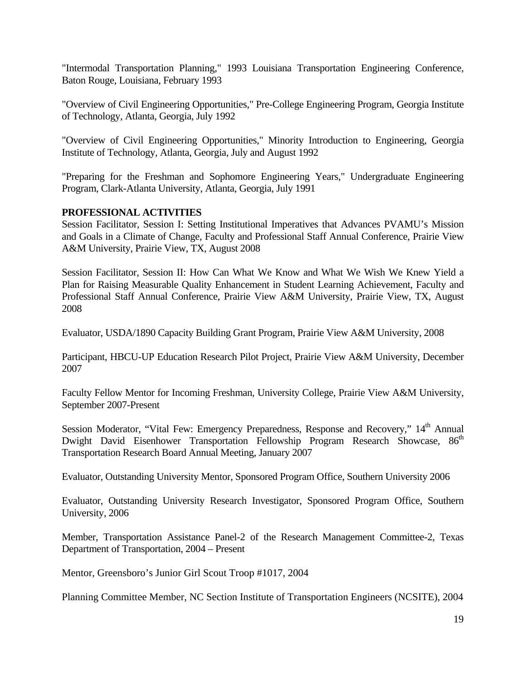"Intermodal Transportation Planning," 1993 Louisiana Transportation Engineering Conference, Baton Rouge, Louisiana, February 1993

"Overview of Civil Engineering Opportunities," Pre-College Engineering Program, Georgia Institute of Technology, Atlanta, Georgia, July 1992

"Overview of Civil Engineering Opportunities," Minority Introduction to Engineering, Georgia Institute of Technology, Atlanta, Georgia, July and August 1992

"Preparing for the Freshman and Sophomore Engineering Years," Undergraduate Engineering Program, Clark-Atlanta University, Atlanta, Georgia, July 1991

## **PROFESSIONAL ACTIVITIES**

Session Facilitator, Session I: Setting Institutional Imperatives that Advances PVAMU's Mission and Goals in a Climate of Change, Faculty and Professional Staff Annual Conference, Prairie View A&M University, Prairie View, TX, August 2008

Session Facilitator, Session II: How Can What We Know and What We Wish We Knew Yield a Plan for Raising Measurable Quality Enhancement in Student Learning Achievement, Faculty and Professional Staff Annual Conference, Prairie View A&M University, Prairie View, TX, August 2008

Evaluator, USDA/1890 Capacity Building Grant Program, Prairie View A&M University, 2008

Participant, HBCU-UP Education Research Pilot Project, Prairie View A&M University, December 2007

Faculty Fellow Mentor for Incoming Freshman, University College, Prairie View A&M University, September 2007-Present

Session Moderator, "Vital Few: Emergency Preparedness, Response and Recovery," 14<sup>th</sup> Annual Dwight David Eisenhower Transportation Fellowship Program Research Showcase, 86<sup>th</sup> Transportation Research Board Annual Meeting, January 2007

Evaluator, Outstanding University Mentor, Sponsored Program Office, Southern University 2006

Evaluator, Outstanding University Research Investigator, Sponsored Program Office, Southern University, 2006

Member, Transportation Assistance Panel-2 of the Research Management Committee-2, Texas Department of Transportation, 2004 – Present

Mentor, Greensboro's Junior Girl Scout Troop #1017, 2004

Planning Committee Member, NC Section Institute of Transportation Engineers (NCSITE), 2004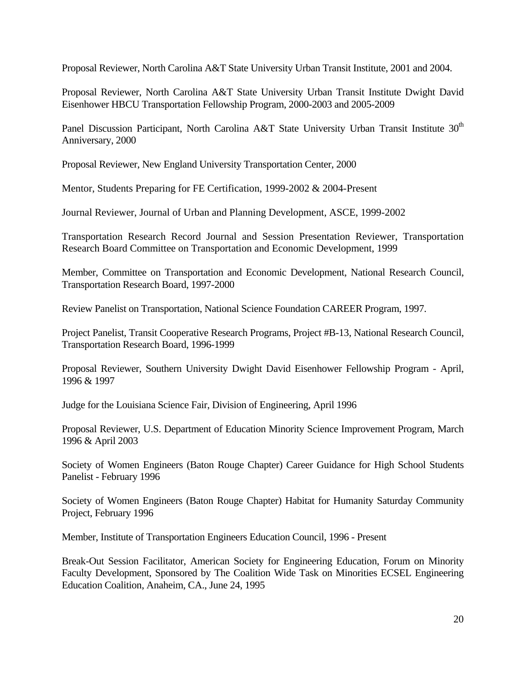Proposal Reviewer, North Carolina A&T State University Urban Transit Institute, 2001 and 2004.

Proposal Reviewer, North Carolina A&T State University Urban Transit Institute Dwight David Eisenhower HBCU Transportation Fellowship Program, 2000-2003 and 2005-2009

Panel Discussion Participant, North Carolina A&T State University Urban Transit Institute 30<sup>th</sup> Anniversary, 2000

Proposal Reviewer, New England University Transportation Center, 2000

Mentor, Students Preparing for FE Certification, 1999-2002 & 2004-Present

Journal Reviewer, Journal of Urban and Planning Development, ASCE, 1999-2002

Transportation Research Record Journal and Session Presentation Reviewer, Transportation Research Board Committee on Transportation and Economic Development, 1999

Member, Committee on Transportation and Economic Development, National Research Council, Transportation Research Board, 1997-2000

Review Panelist on Transportation, National Science Foundation CAREER Program, 1997.

Project Panelist, Transit Cooperative Research Programs, Project #B-13, National Research Council, Transportation Research Board, 1996-1999

Proposal Reviewer, Southern University Dwight David Eisenhower Fellowship Program - April, 1996 & 1997

Judge for the Louisiana Science Fair, Division of Engineering, April 1996

Proposal Reviewer, U.S. Department of Education Minority Science Improvement Program, March 1996 & April 2003

Society of Women Engineers (Baton Rouge Chapter) Career Guidance for High School Students Panelist - February 1996

Society of Women Engineers (Baton Rouge Chapter) Habitat for Humanity Saturday Community Project, February 1996

Member, Institute of Transportation Engineers Education Council, 1996 - Present

Break-Out Session Facilitator, American Society for Engineering Education, Forum on Minority Faculty Development, Sponsored by The Coalition Wide Task on Minorities ECSEL Engineering Education Coalition, Anaheim, CA., June 24, 1995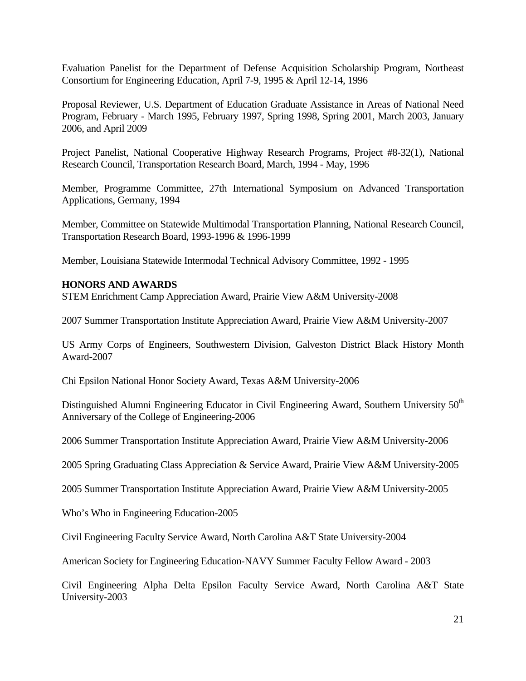Evaluation Panelist for the Department of Defense Acquisition Scholarship Program, Northeast Consortium for Engineering Education, April 7-9, 1995 & April 12-14, 1996

Proposal Reviewer, U.S. Department of Education Graduate Assistance in Areas of National Need Program, February - March 1995, February 1997, Spring 1998, Spring 2001, March 2003, January 2006, and April 2009

Project Panelist, National Cooperative Highway Research Programs, Project #8-32(1), National Research Council, Transportation Research Board, March, 1994 - May, 1996

Member, Programme Committee, 27th International Symposium on Advanced Transportation Applications, Germany, 1994

Member, Committee on Statewide Multimodal Transportation Planning, National Research Council, Transportation Research Board, 1993-1996 & 1996-1999

Member, Louisiana Statewide Intermodal Technical Advisory Committee, 1992 - 1995

## **HONORS AND AWARDS**

STEM Enrichment Camp Appreciation Award, Prairie View A&M University-2008

2007 Summer Transportation Institute Appreciation Award, Prairie View A&M University-2007

US Army Corps of Engineers, Southwestern Division, Galveston District Black History Month Award-2007

Chi Epsilon National Honor Society Award, Texas A&M University-2006

Distinguished Alumni Engineering Educator in Civil Engineering Award, Southern University 50<sup>th</sup> Anniversary of the College of Engineering-2006

2006 Summer Transportation Institute Appreciation Award, Prairie View A&M University-2006

2005 Spring Graduating Class Appreciation & Service Award, Prairie View A&M University-2005

2005 Summer Transportation Institute Appreciation Award, Prairie View A&M University-2005

Who's Who in Engineering Education-2005

Civil Engineering Faculty Service Award, North Carolina A&T State University-2004

American Society for Engineering Education-NAVY Summer Faculty Fellow Award - 2003

Civil Engineering Alpha Delta Epsilon Faculty Service Award, North Carolina A&T State University-2003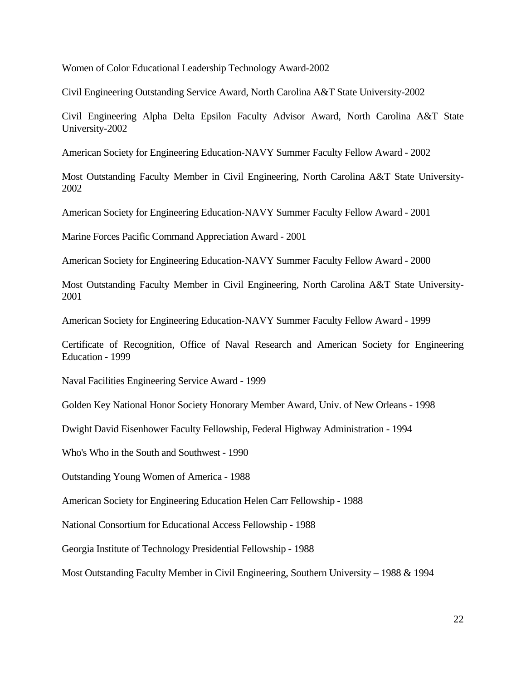Women of Color Educational Leadership Technology Award-2002

Civil Engineering Outstanding Service Award, North Carolina A&T State University-2002

Civil Engineering Alpha Delta Epsilon Faculty Advisor Award, North Carolina A&T State University-2002

American Society for Engineering Education-NAVY Summer Faculty Fellow Award - 2002

Most Outstanding Faculty Member in Civil Engineering, North Carolina A&T State University-2002

American Society for Engineering Education-NAVY Summer Faculty Fellow Award - 2001

Marine Forces Pacific Command Appreciation Award - 2001

American Society for Engineering Education-NAVY Summer Faculty Fellow Award - 2000

Most Outstanding Faculty Member in Civil Engineering, North Carolina A&T State University-2001

American Society for Engineering Education-NAVY Summer Faculty Fellow Award - 1999

Certificate of Recognition, Office of Naval Research and American Society for Engineering Education - 1999

Naval Facilities Engineering Service Award - 1999

Golden Key National Honor Society Honorary Member Award, Univ. of New Orleans - 1998

Dwight David Eisenhower Faculty Fellowship, Federal Highway Administration - 1994

Who's Who in the South and Southwest - 1990

Outstanding Young Women of America - 1988

American Society for Engineering Education Helen Carr Fellowship - 1988

National Consortium for Educational Access Fellowship - 1988

Georgia Institute of Technology Presidential Fellowship - 1988

Most Outstanding Faculty Member in Civil Engineering, Southern University – 1988 & 1994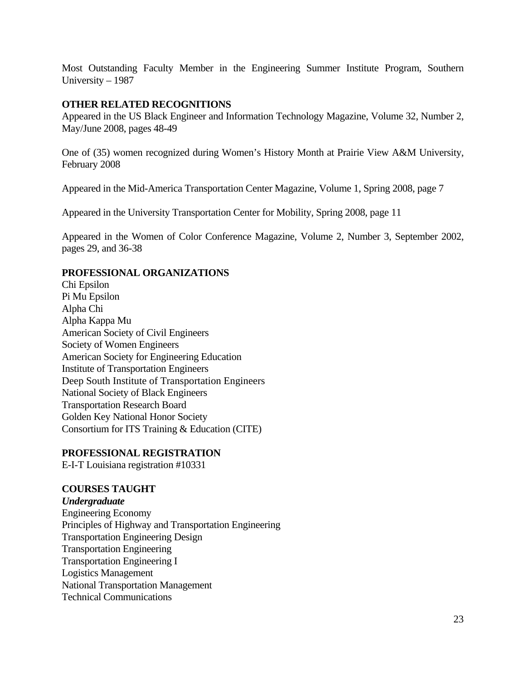Most Outstanding Faculty Member in the Engineering Summer Institute Program, Southern University – 1987

# **OTHER RELATED RECOGNITIONS**

Appeared in the US Black Engineer and Information Technology Magazine, Volume 32, Number 2, May/June 2008, pages 48-49

One of (35) women recognized during Women's History Month at Prairie View A&M University, February 2008

Appeared in the Mid-America Transportation Center Magazine, Volume 1, Spring 2008, page 7

Appeared in the University Transportation Center for Mobility, Spring 2008, page 11

Appeared in the Women of Color Conference Magazine, Volume 2, Number 3, September 2002, pages 29, and 36-38

## **PROFESSIONAL ORGANIZATIONS**

Chi Epsilon Pi Mu Epsilon Alpha Chi Alpha Kappa Mu American Society of Civil Engineers Society of Women Engineers American Society for Engineering Education Institute of Transportation Engineers Deep South Institute of Transportation Engineers National Society of Black Engineers Transportation Research Board Golden Key National Honor Society Consortium for ITS Training & Education (CITE)

## **PROFESSIONAL REGISTRATION**

E-I-T Louisiana registration #10331

# **COURSES TAUGHT**

*Undergraduate*  Engineering Economy Principles of Highway and Transportation Engineering Transportation Engineering Design Transportation Engineering Transportation Engineering I Logistics Management National Transportation Management Technical Communications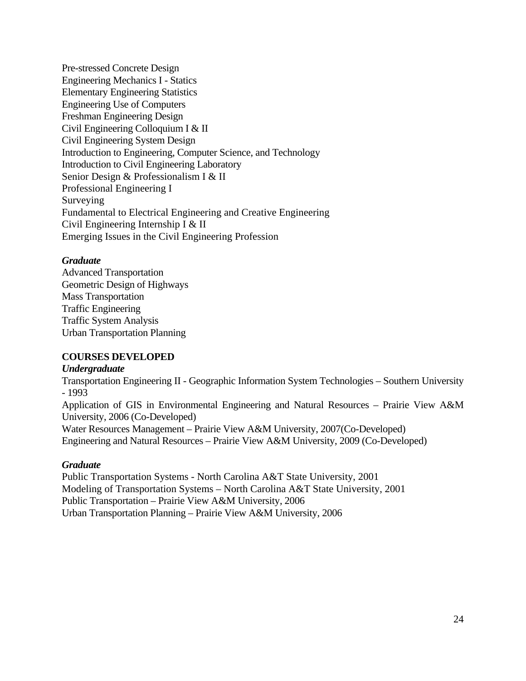Pre-stressed Concrete Design Engineering Mechanics I - Statics Elementary Engineering Statistics Engineering Use of Computers Freshman Engineering Design Civil Engineering Colloquium I & II Civil Engineering System Design Introduction to Engineering, Computer Science, and Technology Introduction to Civil Engineering Laboratory Senior Design & Professionalism I & II Professional Engineering I Surveying Fundamental to Electrical Engineering and Creative Engineering Civil Engineering Internship I & II Emerging Issues in the Civil Engineering Profession

## *Graduate*

Advanced Transportation Geometric Design of Highways Mass Transportation Traffic Engineering Traffic System Analysis Urban Transportation Planning

# **COURSES DEVELOPED**

### *Undergraduate*

Transportation Engineering II - Geographic Information System Technologies – Southern University - 1993

Application of GIS in Environmental Engineering and Natural Resources – Prairie View A&M University, 2006 (Co-Developed)

Water Resources Management – Prairie View A&M University, 2007(Co-Developed) Engineering and Natural Resources – Prairie View A&M University, 2009 (Co-Developed)

## *Graduate*

Public Transportation Systems - North Carolina A&T State University, 2001 Modeling of Transportation Systems – North Carolina A&T State University, 2001 Public Transportation – Prairie View A&M University, 2006 Urban Transportation Planning – Prairie View A&M University, 2006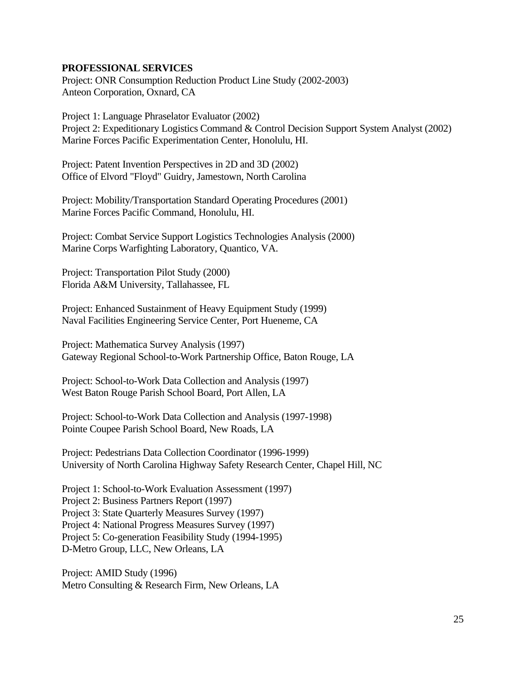### **PROFESSIONAL SERVICES**

Project: ONR Consumption Reduction Product Line Study (2002-2003) Anteon Corporation, Oxnard, CA

Project 1: Language Phraselator Evaluator (2002) Project 2: Expeditionary Logistics Command & Control Decision Support System Analyst (2002) Marine Forces Pacific Experimentation Center, Honolulu, HI.

Project: Patent Invention Perspectives in 2D and 3D (2002) Office of Elvord "Floyd" Guidry, Jamestown, North Carolina

Project: Mobility/Transportation Standard Operating Procedures (2001) Marine Forces Pacific Command, Honolulu, HI.

Project: Combat Service Support Logistics Technologies Analysis (2000) Marine Corps Warfighting Laboratory, Quantico, VA.

Project: Transportation Pilot Study (2000) Florida A&M University, Tallahassee, FL

Project: Enhanced Sustainment of Heavy Equipment Study (1999) Naval Facilities Engineering Service Center, Port Hueneme, CA

Project: Mathematica Survey Analysis (1997) Gateway Regional School-to-Work Partnership Office, Baton Rouge, LA

Project: School-to-Work Data Collection and Analysis (1997) West Baton Rouge Parish School Board, Port Allen, LA

Project: School-to-Work Data Collection and Analysis (1997-1998) Pointe Coupee Parish School Board, New Roads, LA

Project: Pedestrians Data Collection Coordinator (1996-1999) University of North Carolina Highway Safety Research Center, Chapel Hill, NC

Project 1: School-to-Work Evaluation Assessment (1997) Project 2: Business Partners Report (1997) Project 3: State Quarterly Measures Survey (1997) Project 4: National Progress Measures Survey (1997) Project 5: Co-generation Feasibility Study (1994-1995) D-Metro Group, LLC, New Orleans, LA

Project: AMID Study (1996) Metro Consulting & Research Firm, New Orleans, LA